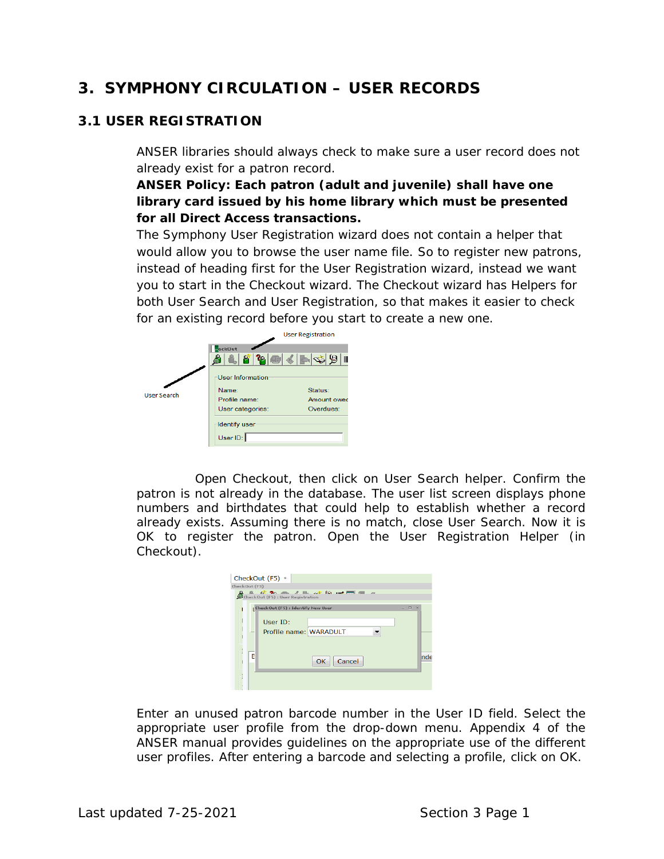# **3. SYMPHONY CIRCULATION – USER RECORDS**

## **3.1 USER REGISTRATION**

ANSER libraries should always check to make sure a user record does not already exist for a patron record.

**ANSER Policy: Each patron (adult and juvenile) shall have one library card issued by his home library which must be presented for all Direct Access transactions.**

The Symphony User Registration wizard does not contain a helper that would allow you to browse the user name file. So to register new patrons, instead of heading first for the User Registration wizard, instead we want you to start in the Checkout wizard. The Checkout wizard has Helpers for both User Search and User Registration, so that makes it easier to check for an existing record before you start to create a new one.



Open Checkout, then click on User Search helper. Confirm the patron is not already in the database. The user list screen displays phone numbers and birthdates that could help to establish whether a record already exists. Assuming there is no match, close User Search. Now it is OK to register the patron. Open the User Registration Helper (in Checkout).

| CheckOut (F5) ×                                                                                    |      |
|----------------------------------------------------------------------------------------------------|------|
| CheckOut (F5)                                                                                      |      |
| <u> 0 <del>0</del> % m <i>1</i> m √ 10 m <del>m</del> a _</u><br>CheckOut (F5) : User Registration |      |
| $\Box$ $\times$<br><b>CheckOut (F5): Identify New User</b><br>÷                                    |      |
| User ID:                                                                                           |      |
| Profile name: WARADULT<br>$\overline{\phantom{a}}$                                                 |      |
|                                                                                                    |      |
| B<br>Cancel<br>OK                                                                                  | Inde |
|                                                                                                    |      |
|                                                                                                    |      |
|                                                                                                    |      |

Enter an unused patron barcode number in the User ID field. Select the appropriate user profile from the drop-down menu. Appendix 4 of the ANSER manual provides guidelines on the appropriate use of the different user profiles. After entering a barcode and selecting a profile, click on OK.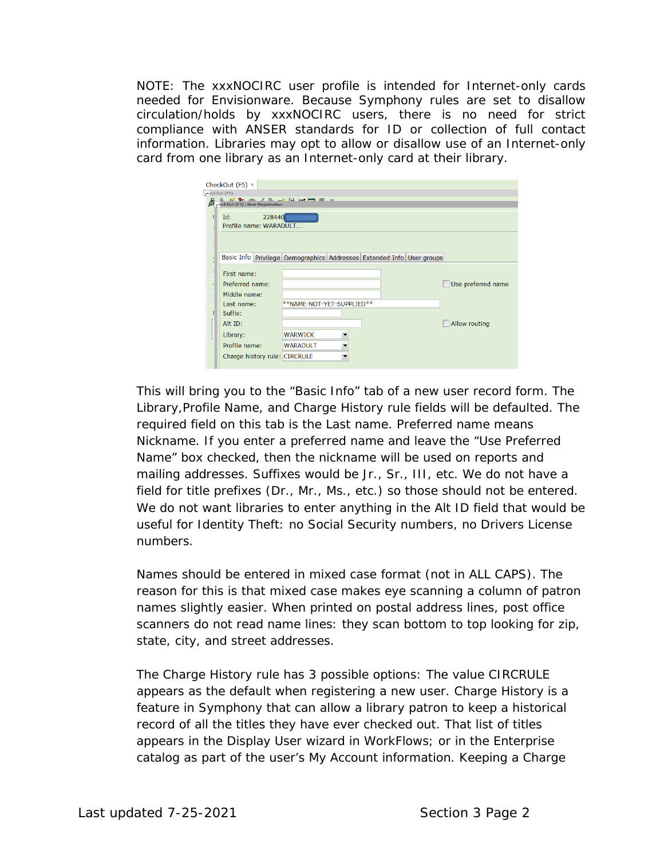NOTE: The xxxNOCIRC user profile is intended for Internet-only cards needed for Envisionware. Because Symphony rules are set to disallow circulation/holds by xxxNOCIRC users, there is no need for strict compliance with ANSER standards for ID or collection of full contact information. Libraries may opt to allow or disallow use of an Internet-only card from one library as an Internet-only card at their library.

| CheckOut $(F5)$ $\times$                                                                                                                                                                                                                                                                                                                                                                                                                                                                                                                                     |  |
|--------------------------------------------------------------------------------------------------------------------------------------------------------------------------------------------------------------------------------------------------------------------------------------------------------------------------------------------------------------------------------------------------------------------------------------------------------------------------------------------------------------------------------------------------------------|--|
| C2ckOut(F5)<br>$\begin{array}{lllllllllllll} \textcolor{red}{\bigotimes} & \textcolor{red}{\mathcal{O}} & \textcolor{red}{\mathcal{O}} & \textcolor{red}{\mathcal{O}} & \textcolor{red}{\mathcal{O}} & \textcolor{red}{\mathcal{O}} & \textcolor{red}{\mathcal{O}} & \textcolor{red}{\mathcal{O}} & \textcolor{red}{\mathcal{O}} & \textcolor{red}{\mathcal{O}} & \textcolor{red}{\mathcal{O}} & \textcolor{red}{\mathcal{O}} & \textcolor{red}{\mathcal{O}} & \textcolor{red}{\mathcal{O}} & \textcolor{red}{\mathcal{O}} & \textcolor{red}{\mathcal{O}} &$ |  |
|                                                                                                                                                                                                                                                                                                                                                                                                                                                                                                                                                              |  |
| 228440<br>Id:<br>Profile name: WARADULT                                                                                                                                                                                                                                                                                                                                                                                                                                                                                                                      |  |
|                                                                                                                                                                                                                                                                                                                                                                                                                                                                                                                                                              |  |
|                                                                                                                                                                                                                                                                                                                                                                                                                                                                                                                                                              |  |
| Basic Info Privilege Demographics Addresses Extended Info User groups                                                                                                                                                                                                                                                                                                                                                                                                                                                                                        |  |
|                                                                                                                                                                                                                                                                                                                                                                                                                                                                                                                                                              |  |
| First name:                                                                                                                                                                                                                                                                                                                                                                                                                                                                                                                                                  |  |
| Use preferred name<br>Preferred name:                                                                                                                                                                                                                                                                                                                                                                                                                                                                                                                        |  |
| Middle name:                                                                                                                                                                                                                                                                                                                                                                                                                                                                                                                                                 |  |
| **NAME-NOT-YET-SUPPLIED**<br>Last name:                                                                                                                                                                                                                                                                                                                                                                                                                                                                                                                      |  |
| Suffix:                                                                                                                                                                                                                                                                                                                                                                                                                                                                                                                                                      |  |
| Allow routing<br>Alt ID:                                                                                                                                                                                                                                                                                                                                                                                                                                                                                                                                     |  |
| Library:<br><b>WARWICK</b>                                                                                                                                                                                                                                                                                                                                                                                                                                                                                                                                   |  |
| Profile name:<br><b>WARADULT</b>                                                                                                                                                                                                                                                                                                                                                                                                                                                                                                                             |  |
| Charge history rule: CIRCRULE                                                                                                                                                                                                                                                                                                                                                                                                                                                                                                                                |  |

This will bring you to the "Basic Info" tab of a new user record form. The Library,Profile Name, and Charge History rule fields will be defaulted. The required field on this tab is the Last name. Preferred name means Nickname. If you enter a preferred name and leave the "Use Preferred Name" box checked, then the nickname will be used on reports and mailing addresses. Suffixes would be Jr., Sr., III, etc. We do not have a field for title prefixes (Dr., Mr., Ms., etc.) so those should not be entered. We do not want libraries to enter anything in the Alt ID field that would be useful for Identity Theft: no Social Security numbers, no Drivers License numbers.

Names should be entered in mixed case format (not in ALL CAPS). The reason for this is that mixed case makes eye scanning a column of patron names slightly easier. When printed on postal address lines, post office scanners do not read name lines: they scan bottom to top looking for zip, state, city, and street addresses.

The Charge History rule has 3 possible options: The value CIRCRULE appears as the default when registering a new user. Charge History is a feature in Symphony that can allow a library patron to keep a historical record of all the titles they have ever checked out. That list of titles appears in the Display User wizard in WorkFlows; or in the Enterprise catalog as part of the user's My Account information. Keeping a Charge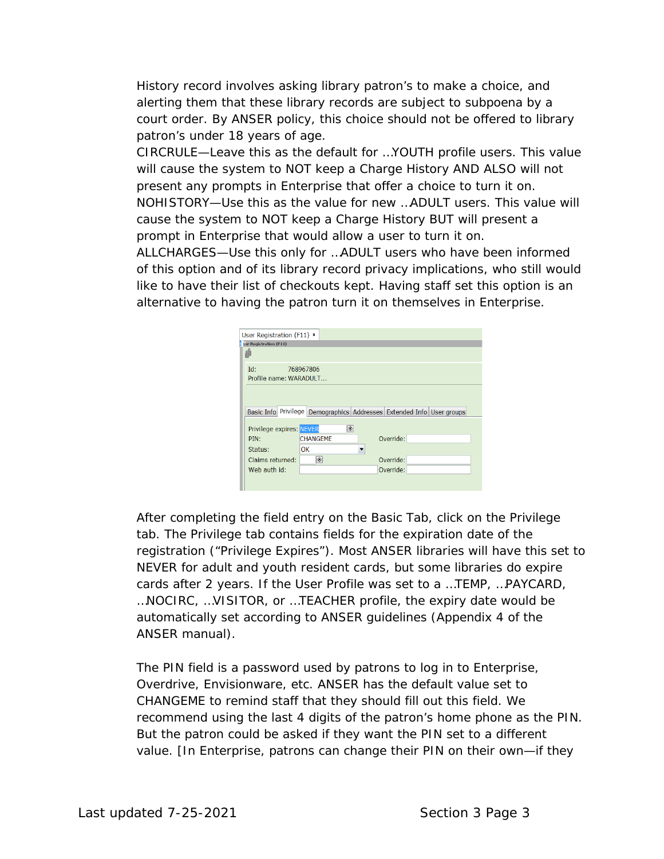History record involves asking library patron's to make a choice, and alerting them that these library records are subject to subpoena by a court order. By ANSER policy, this choice should not be offered to library patron's under 18 years of age.

CIRCRULE—Leave this as the default for …YOUTH profile users. This value will cause the system to NOT keep a Charge History AND ALSO will not present any prompts in Enterprise that offer a choice to turn it on. NOHISTORY—Use this as the value for new …ADULT users. This value will cause the system to NOT keep a Charge History BUT will present a prompt in Enterprise that would allow a user to turn it on.

ALLCHARGES—Use this only for …ADULT users who have been informed of this option and of its library record privacy implications, who still would like to have their list of checkouts kept. Having staff set this option is an alternative to having the patron turn it on themselves in Enterprise.

| User Registration (F11) ×     |                 |           |                                                                       |
|-------------------------------|-----------------|-----------|-----------------------------------------------------------------------|
| <b>Rar Registration (F11)</b> |                 |           |                                                                       |
|                               |                 |           |                                                                       |
| Id:                           | 768967806       |           |                                                                       |
| Profile name: WARADULT        |                 |           |                                                                       |
|                               |                 |           |                                                                       |
|                               |                 |           |                                                                       |
|                               |                 |           | Basic Info Privilege Demographics Addresses Extended Info User groups |
|                               | ۱               |           |                                                                       |
| Privilege expires: NEVER      |                 |           |                                                                       |
| PIN:                          | <b>CHANGEME</b> | Override: |                                                                       |
| Status:                       | OK              |           |                                                                       |
| Claims returned:              | ◈               | Override: |                                                                       |
| Web auth id:                  |                 | Override: |                                                                       |
|                               |                 |           |                                                                       |
|                               |                 |           |                                                                       |

After completing the field entry on the Basic Tab, click on the Privilege tab. The Privilege tab contains fields for the expiration date of the registration ("Privilege Expires"). Most ANSER libraries will have this set to NEVER for adult and youth resident cards, but some libraries do expire cards after 2 years. If the User Profile was set to a …TEMP, …PAYCARD, …NOCIRC, …VISITOR, or …TEACHER profile, the expiry date would be automatically set according to ANSER guidelines (Appendix 4 of the ANSER manual).

The PIN field is a password used by patrons to log in to Enterprise, Overdrive, Envisionware, etc. ANSER has the default value set to CHANGEME to remind staff that they should fill out this field. We recommend using the last 4 digits of the patron's home phone as the PIN. But the patron could be asked if they want the PIN set to a different value. [In Enterprise, patrons can change their PIN on their own—if they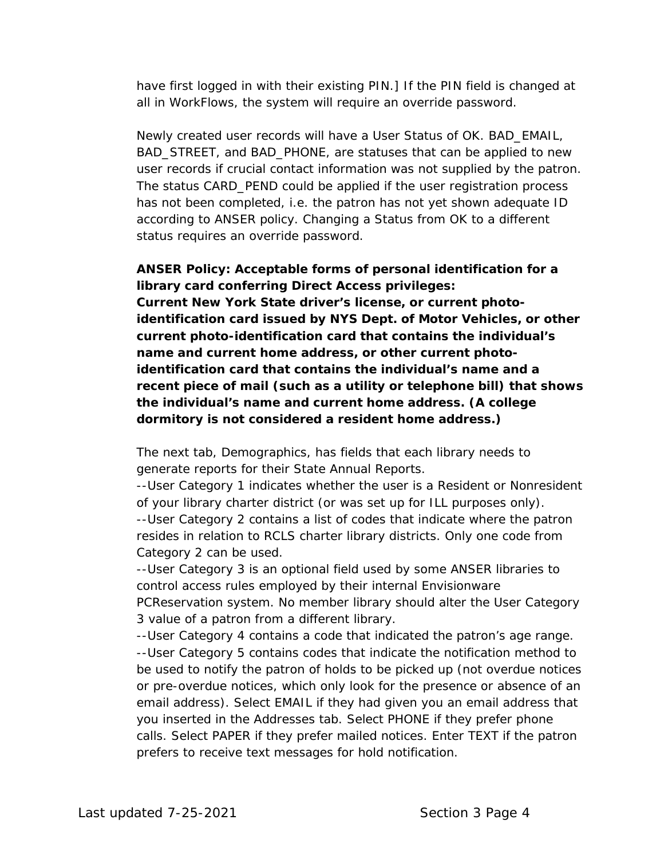have first logged in with their existing PIN.] If the PIN field is changed at all in WorkFlows, the system will require an override password.

Newly created user records will have a User Status of OK. BAD\_EMAIL, BAD\_STREET, and BAD\_PHONE, are statuses that can be applied to new user records if crucial contact information was not supplied by the patron. The status CARD\_PEND could be applied if the user registration process has not been completed, i.e. the patron has not yet shown adequate ID according to ANSER policy. Changing a Status from OK to a different status requires an override password.

#### **ANSER Policy: Acceptable forms of personal identification for a library card conferring Direct Access privileges:**

**Current New York State driver's license, or current photoidentification card issued by NYS Dept. of Motor Vehicles, or other current photo-identification card that contains the individual's name and current home address, or other current photoidentification card that contains the individual's name and a recent piece of mail (such as a utility or telephone bill) that shows the individual's name and current home address. (A college dormitory is not considered a resident home address.)**

The next tab, Demographics, has fields that each library needs to generate reports for their State Annual Reports.

--User Category 1 indicates whether the user is a Resident or Nonresident of your library charter district (or was set up for ILL purposes only). --User Category 2 contains a list of codes that indicate where the patron resides in relation to RCLS charter library districts. Only one code from Category 2 can be used.

--User Category 3 is an optional field used by some ANSER libraries to control access rules employed by their internal Envisionware

PCReservation system. No member library should alter the User Category 3 value of a patron from a different library.

--User Category 4 contains a code that indicated the patron's age range. --User Category 5 contains codes that indicate the notification method to be used to notify the patron of holds to be picked up (not overdue notices or pre-overdue notices, which only look for the presence or absence of an email address). Select EMAIL if they had given you an email address that you inserted in the Addresses tab. Select PHONE if they prefer phone calls. Select PAPER if they prefer mailed notices. Enter TEXT if the patron prefers to receive text messages for hold notification.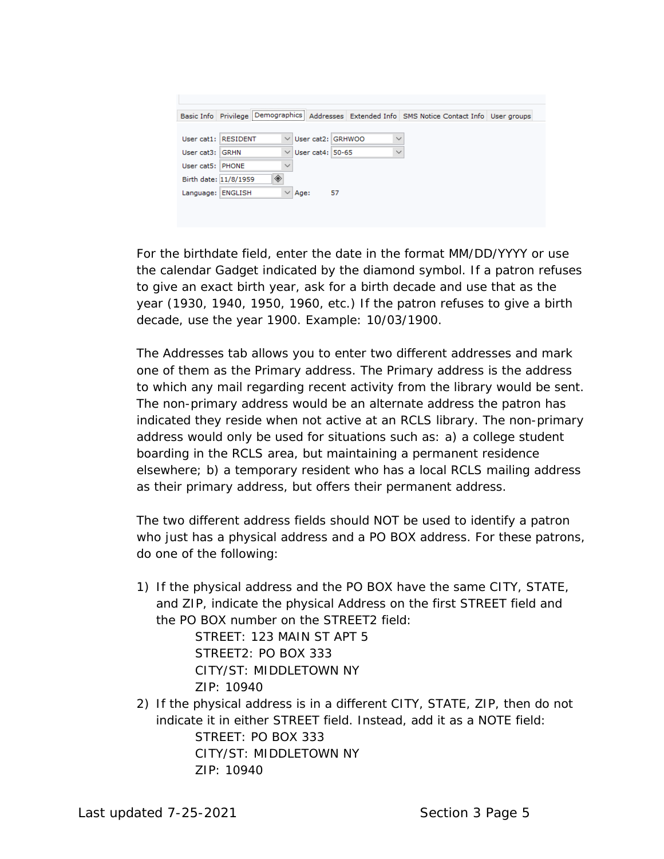|                       |                     |              |      |                          | Basic Info Privilege Demographics Addresses Extended Info SMS Notice Contact Info User groups |  |
|-----------------------|---------------------|--------------|------|--------------------------|-----------------------------------------------------------------------------------------------|--|
|                       |                     |              |      |                          |                                                                                               |  |
|                       | User cat1: RESIDENT |              |      | $\vee$ User cat2: GRHWOO | $\checkmark$                                                                                  |  |
| User cat3: GRHN       |                     | $\vee$       |      | User cat4: 50-65         | $\checkmark$                                                                                  |  |
| User cat5: PHONE      |                     | $\checkmark$ |      |                          |                                                                                               |  |
| Birth date: 11/8/1959 | ◈                   |              |      |                          |                                                                                               |  |
| Language: ENGLISH     |                     | $\checkmark$ | Age: | 57                       |                                                                                               |  |
|                       |                     |              |      |                          |                                                                                               |  |

For the birthdate field, enter the date in the format MM/DD/YYYY or use the calendar Gadget indicated by the diamond symbol. If a patron refuses to give an exact birth year, ask for a birth decade and use that as the year (1930, 1940, 1950, 1960, etc.) If the patron refuses to give a birth decade, use the year 1900. Example: 10/03/1900.

The Addresses tab allows you to enter two different addresses and mark one of them as the Primary address. The Primary address is the address to which any mail regarding recent activity from the library would be sent. The non-primary address would be an alternate address the patron has indicated they reside when not active at an RCLS library. The non-primary address would only be used for situations such as: a) a college student boarding in the RCLS area, but maintaining a permanent residence elsewhere; b) a temporary resident who has a local RCLS mailing address as their primary address, but offers their permanent address.

The two different address fields should NOT be used to identify a patron who just has a physical address and a PO BOX address. For these patrons, do one of the following:

1) If the physical address and the PO BOX have the same CITY, STATE, and ZIP, indicate the physical Address on the first STREET field and the PO BOX number on the STREET2 field:

> STREET: 123 MAIN ST APT 5 STRFFT2: PO BOX 333 CITY/ST: MIDDLETOWN NY ZIP: 10940

2) If the physical address is in a different CITY, STATE, ZIP, then do not indicate it in either STREET field. Instead, add it as a NOTE field: STREET: PO BOX 333 CITY/ST: MIDDLETOWN NY ZIP: 10940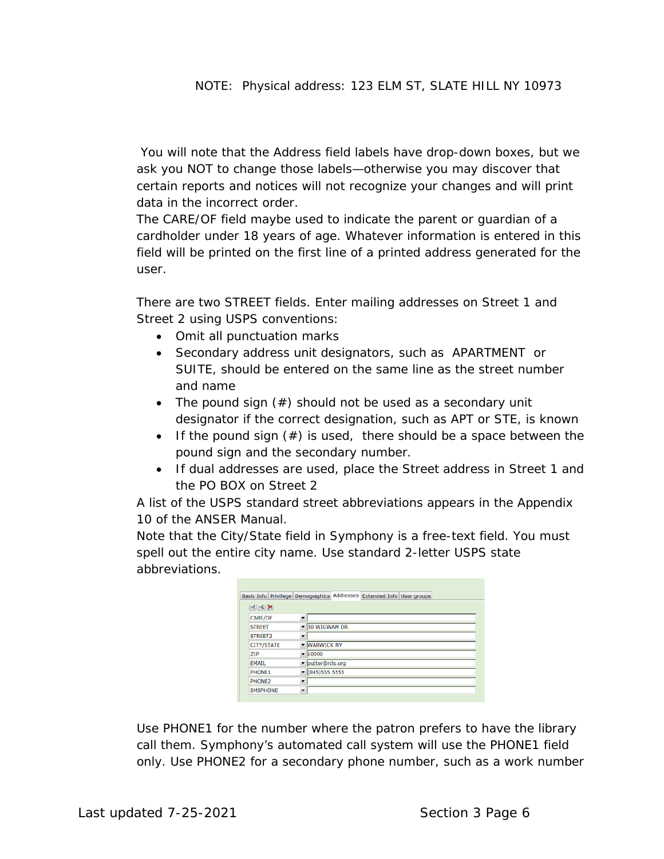You will note that the Address field labels have drop-down boxes, but we ask you NOT to change those labels—otherwise you may discover that certain reports and notices will not recognize your changes and will print data in the incorrect order.

The CARE/OF field maybe used to indicate the parent or guardian of a cardholder under 18 years of age. Whatever information is entered in this field will be printed on the first line of a printed address generated for the user.

There are two STREET fields. Enter mailing addresses on Street 1 and Street 2 using USPS conventions:

- Omit all punctuation marks
- Secondary address unit designators, such as APARTMENT or SUITE, should be entered on the same line as the street number and name
- The pound sign (#) should not be used as a secondary unit designator if the correct designation, such as APT or STE, is known
- If the pound sign  $(\#)$  is used, there should be a space between the pound sign and the secondary number.
- If dual addresses are used, place the Street address in Street 1 and the PO BOX on Street 2

A list of the USPS standard street abbreviations appears in the Appendix 10 of the ANSER Manual.

Note that the City/State field in Symphony is a free-text field. You must spell out the entire city name. Use standard 2-letter USPS state abbreviations.

|                                                                                                              |                                     | Basic Info Privilege Demographics Addresses Extended Info User groups |  |
|--------------------------------------------------------------------------------------------------------------|-------------------------------------|-----------------------------------------------------------------------|--|
| $\left\vert \mathbf{P}_{k}\right\vert \left\vert \mathbf{P}_{k}\right\vert \left\vert \mathbf{X}\right\vert$ |                                     |                                                                       |  |
| <b>CARE/OF</b>                                                                                               | ۰                                   |                                                                       |  |
| <b>STREET</b>                                                                                                | 30 WIGWAM DR                        |                                                                       |  |
| STREET2                                                                                                      | $\overline{\phantom{a}}$            |                                                                       |  |
| CITY/STATE                                                                                                   | <b>WARWICK NY</b>                   |                                                                       |  |
| <b>ZIP</b>                                                                                                   | 10990                               |                                                                       |  |
| <b>EMAIL</b>                                                                                                 | ▼ putter@rcls.org                   |                                                                       |  |
| PHONE1                                                                                                       | $\blacktriangledown$ (845) 555-5555 |                                                                       |  |
| PHONE2                                                                                                       | ۰                                   |                                                                       |  |
| <b>SMSPHONE</b>                                                                                              | $\blacksquare$                      |                                                                       |  |
|                                                                                                              |                                     |                                                                       |  |

Use PHONE1 for the number where the patron prefers to have the library call them. Symphony's automated call system will use the PHONE1 field only. Use PHONE2 for a secondary phone number, such as a work number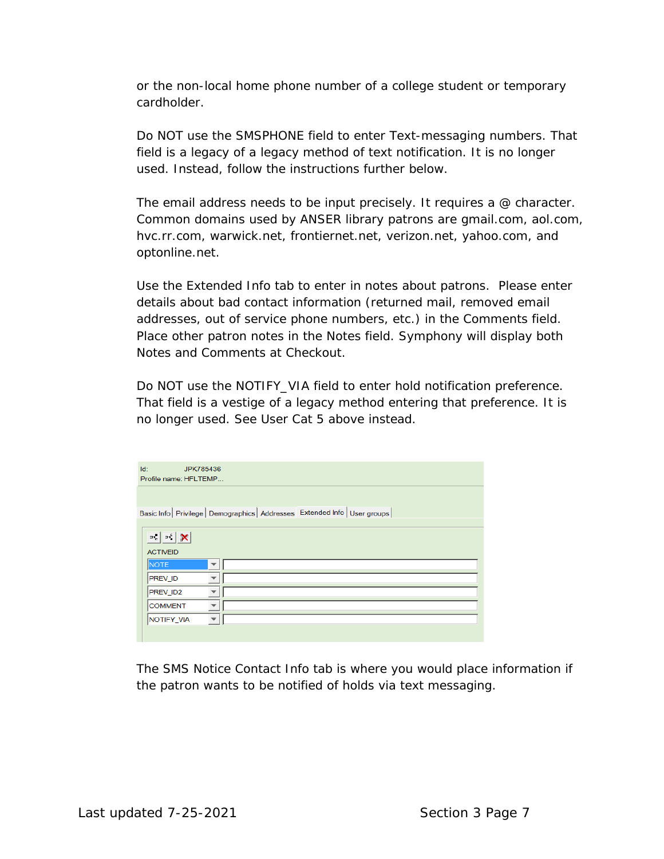or the non-local home phone number of a college student or temporary cardholder.

Do NOT use the SMSPHONE field to enter Text-messaging numbers. That field is a legacy of a legacy method of text notification. It is no longer used. Instead, follow the instructions further below.

The email address needs to be input precisely. It requires a  $@$  character. Common domains used by ANSER library patrons are gmail.com, aol.com, hvc.rr.com, warwick.net, frontiernet.net, verizon.net, yahoo.com, and optonline.net.

Use the Extended Info tab to enter in notes about patrons. Please enter details about bad contact information (returned mail, removed email addresses, out of service phone numbers, etc.) in the Comments field. Place other patron notes in the Notes field. Symphony will display both Notes and Comments at Checkout.

Do NOT use the NOTIFY\_VIA field to enter hold notification preference. That field is a vestige of a legacy method entering that preference. It is no longer used. See User Cat 5 above instead.

| Id:<br>JPK785436                   |                                                                               |
|------------------------------------|-------------------------------------------------------------------------------|
| Profile name: HFLTEMP              |                                                                               |
|                                    |                                                                               |
|                                    |                                                                               |
|                                    | Basic Info   Privilege   Demographics   Addresses Extended Info   User groups |
|                                    |                                                                               |
| $\rightarrow$ $\sim$ $\sim$ $\sim$ |                                                                               |
| <b>ACTIVEID</b>                    |                                                                               |
| <b>NOTE</b>                        |                                                                               |
| <b>PREV_ID</b>                     |                                                                               |
| PREV ID2                           |                                                                               |
| <b>COMMENT</b>                     |                                                                               |
| NOTIFY_VIA                         |                                                                               |
|                                    |                                                                               |

The SMS Notice Contact Info tab is where you would place information if the patron wants to be notified of holds via text messaging.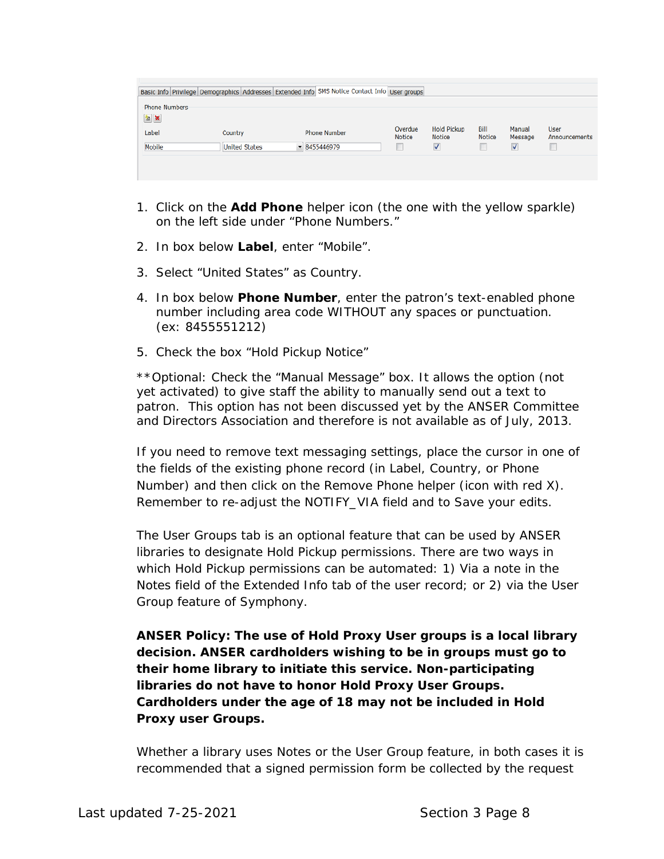|                                      |                      | Basic Info Privilege Demographics Addresses Extended Info SMS Notice Contact Info User groups |                          |                                     |                       |                      |                              |
|--------------------------------------|----------------------|-----------------------------------------------------------------------------------------------|--------------------------|-------------------------------------|-----------------------|----------------------|------------------------------|
| <b>Phone Numbers</b><br>$\mathbf{z}$ |                      |                                                                                               |                          |                                     |                       |                      |                              |
| Label                                | Country              | <b>Phone Number</b>                                                                           | Overdue<br><b>Notice</b> | <b>Hold Pickup</b><br><b>Notice</b> | Bill<br><b>Notice</b> | Manual<br>Message    | <b>User</b><br>Announcements |
| Mobile                               | <b>United States</b> | $-8455446979$                                                                                 | ш<br>--                  | $\blacktriangledown$                | ш                     | $\blacktriangledown$ |                              |
|                                      |                      |                                                                                               |                          |                                     |                       |                      |                              |
|                                      |                      |                                                                                               |                          |                                     |                       |                      |                              |

- 1. Click on the **Add Phone** helper icon (the one with the yellow sparkle) on the left side under "Phone Numbers."
- 2. In box below **Label**, enter "Mobile".
- 3. Select "United States" as Country.
- 4. In box below **Phone Number**, enter the patron's text-enabled phone number including area code WITHOUT any spaces or punctuation. (ex: 8455551212)
- 5. Check the box "Hold Pickup Notice"

\*\*Optional: Check the "Manual Message" box. It allows the option (not yet activated) to give staff the ability to manually send out a text to patron. This option has not been discussed yet by the ANSER Committee and Directors Association and therefore is not available as of July, 2013.

If you need to remove text messaging settings, place the cursor in one of the fields of the existing phone record (in Label, Country, or Phone Number) and then click on the Remove Phone helper (icon with red X). Remember to re-adjust the NOTIFY\_VIA field and to Save your edits.

The User Groups tab is an optional feature that can be used by ANSER libraries to designate Hold Pickup permissions. There are two ways in which Hold Pickup permissions can be automated: 1) Via a note in the Notes field of the Extended Info tab of the user record; or 2) via the User Group feature of Symphony.

**ANSER Policy: The use of Hold Proxy User groups is a local library decision. ANSER cardholders wishing to be in groups must go to their home library to initiate this service. Non-participating libraries do not have to honor Hold Proxy User Groups. Cardholders under the age of 18 may not be included in Hold Proxy user Groups.**

Whether a library uses Notes or the User Group feature, in both cases it is recommended that a signed permission form be collected by the request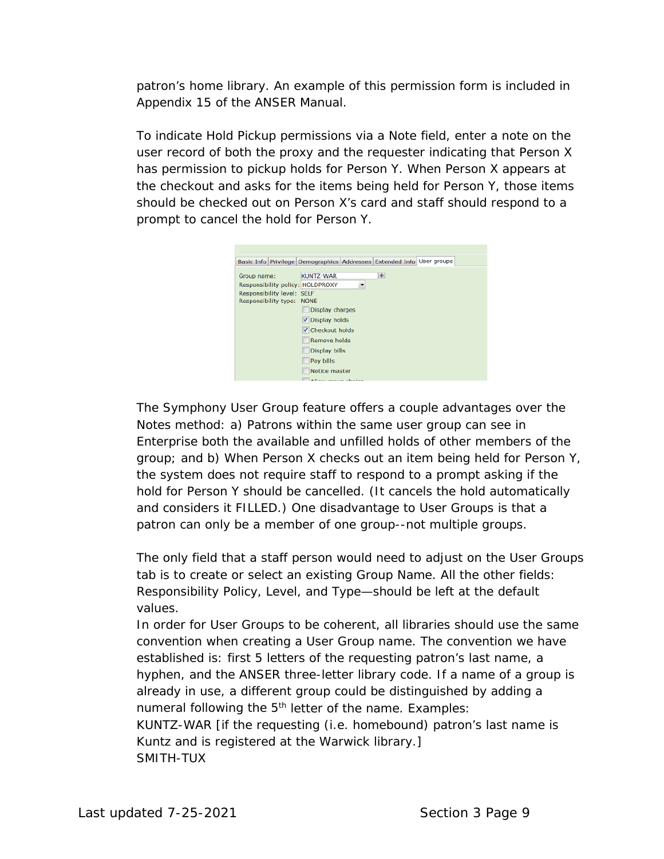patron's home library. An example of this permission form is included in Appendix 15 of the ANSER Manual.

To indicate Hold Pickup permissions via a Note field, enter a note on the user record of both the proxy and the requester indicating that Person X has permission to pickup holds for Person Y. When Person X appears at the checkout and asks for the items being held for Person Y, those items should be checked out on Person X's card and staff should respond to a prompt to cancel the hold for Person Y.



The Symphony User Group feature offers a couple advantages over the Notes method: a) Patrons within the same user group can see in Enterprise both the available and unfilled holds of other members of the group; and b) When Person X checks out an item being held for Person Y, the system does not require staff to respond to a prompt asking if the hold for Person Y should be cancelled. (It cancels the hold automatically and considers it FILLED.) One disadvantage to User Groups is that a patron can only be a member of one group--not multiple groups.

The only field that a staff person would need to adjust on the User Groups tab is to create or select an existing Group Name. All the other fields: Responsibility Policy, Level, and Type—should be left at the default values.

In order for User Groups to be coherent, all libraries should use the same convention when creating a User Group name. The convention we have established is: first 5 letters of the requesting patron's last name, a hyphen, and the ANSER three-letter library code. If a name of a group is already in use, a different group could be distinguished by adding a numeral following the 5<sup>th</sup> letter of the name. Examples: KUNTZ-WAR [if the requesting (i.e. homebound) patron's last name is Kuntz and is registered at the Warwick library.] SMITH-TUX

*Last updated 7-25-2021 Section 3 Page 9*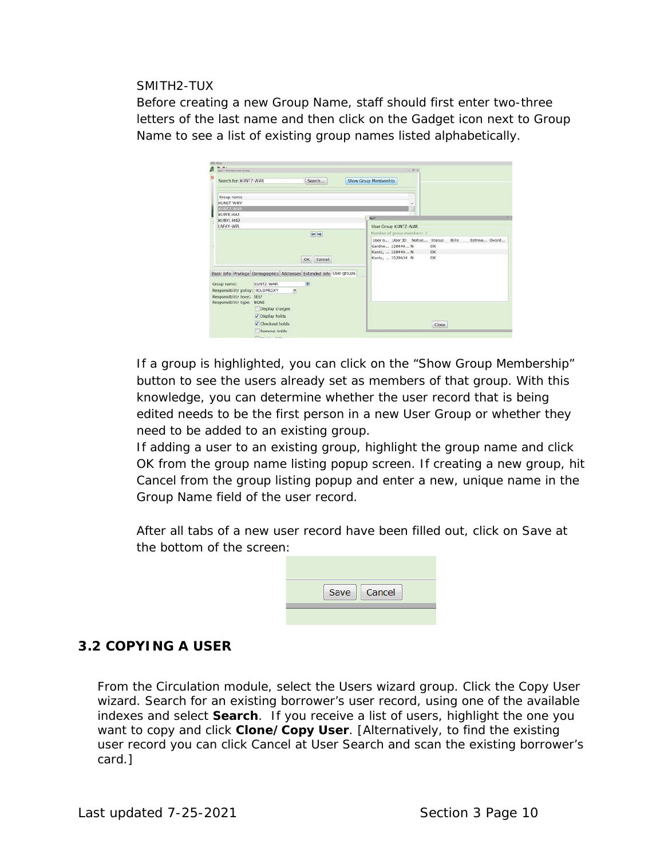#### SMITH2-TUX

Before creating a new Group Name, staff should first enter two-three letters of the last name and then click on the Gadget icon next to Group Name to see a list of existing group names listed alphabetically.

| 0.91<br>digect a Kenningen interer general |                                                                       |           | $-12 - 10$                                              |
|--------------------------------------------|-----------------------------------------------------------------------|-----------|---------------------------------------------------------|
| Search for: KUNTZ-WAR                      |                                                                       | Search    | Show Group Membership                                   |
| Group name                                 |                                                                       |           |                                                         |
| KUNST-WNY                                  |                                                                       |           | ۰                                                       |
| KUNTZ-WAR                                  |                                                                       |           |                                                         |
| KUPFE-HA2                                  |                                                                       |           | <b>April</b>                                            |
| KURYL-HA2<br>LAFAY-WPL                     |                                                                       |           |                                                         |
|                                            |                                                                       |           | User Group KUNTZ-WAR                                    |
|                                            |                                                                       | 40.00     | Number of group members: 3                              |
|                                            |                                                                       |           | Estima Overd<br>User n., User ID Notice Status<br>Bills |
|                                            |                                                                       |           | Gardne 228440 N<br>OK<br>OK                             |
|                                            |                                                                       |           | Kuntz,  228440 N<br>ОК<br>Kuntz,  3529634 N             |
|                                            |                                                                       | OK Cancel |                                                         |
|                                            |                                                                       |           |                                                         |
|                                            | Basic Info Privilege Demographics Addresses Extended Info User groups |           |                                                         |
| Group name:                                | KUNTZ-WAR                                                             | 府         |                                                         |
|                                            | Responsibility policy: HOLDPROXY<br>٠                                 |           |                                                         |
| Responsibility level: SELF                 |                                                                       |           |                                                         |
| Responsibility type: NONE                  |                                                                       |           |                                                         |
|                                            | Display charges                                                       |           |                                                         |
|                                            | V Display holds                                                       |           |                                                         |
|                                            | V Checkout holds                                                      |           | Close                                                   |
|                                            | Remove holds                                                          |           |                                                         |
|                                            | personal control of the con-                                          |           |                                                         |

If a group is highlighted, you can click on the "Show Group Membership" button to see the users already set as members of that group. With this knowledge, you can determine whether the user record that is being edited needs to be the first person in a new User Group or whether they need to be added to an existing group.

If adding a user to an existing group, highlight the group name and click OK from the group name listing popup screen. If creating a new group, hit Cancel from the group listing popup and enter a new, unique name in the Group Name field of the user record.

After all tabs of a new user record have been filled out, click on Save at the bottom of the screen:

| Save   Cancel |
|---------------|
|               |

## **3.2 COPYING A USER**

From the Circulation module, select the Users wizard group. Click the *Copy User* wizard. Search for an existing borrower's user record, using one of the available indexes and select **Search**. If you receive a list of users, highlight the one you want to copy and click **Clone/Copy User**. [Alternatively, to find the existing user record you can click Cancel at User Search and scan the existing borrower's card.]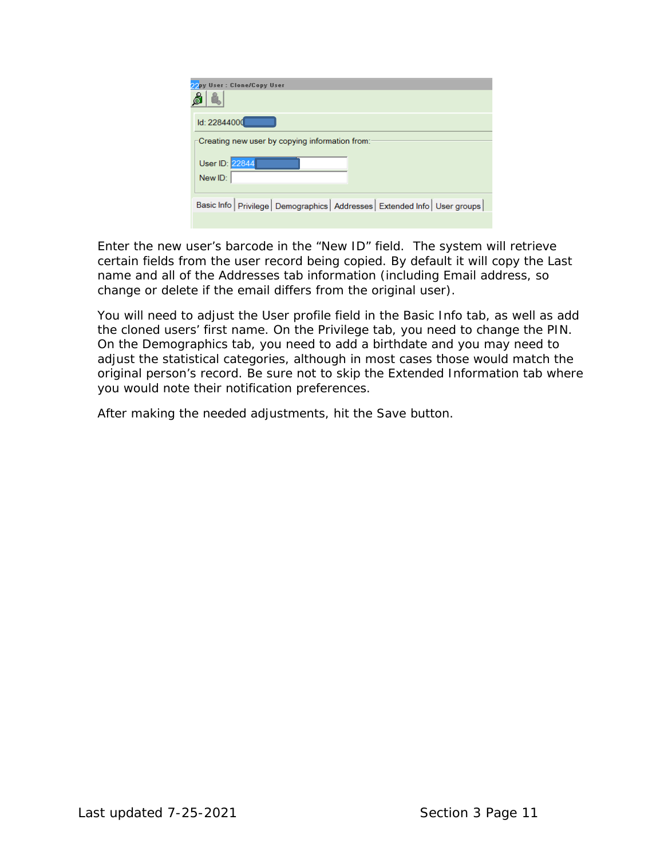| py User : Clone/Copy User                                                       |
|---------------------------------------------------------------------------------|
| ld: 22844000                                                                    |
| Creating new user by copying information from:                                  |
| User ID: 22844                                                                  |
| New ID:                                                                         |
|                                                                                 |
| Basic Info   Privilege   Demographics   Addresses   Extended Info   User groups |

Enter the new user's barcode in the "New ID" field. The system will retrieve certain fields from the user record being copied. By default it will copy the Last name and all of the Addresses tab information (including Email address, so change or delete if the email differs from the original user).

You will need to adjust the User profile field in the Basic Info tab, as well as add the cloned users' first name. On the Privilege tab, you need to change the PIN. On the Demographics tab, you need to add a birthdate and you may need to adjust the statistical categories, although in most cases those would match the original person's record. Be sure not to skip the Extended Information tab where you would note their notification preferences.

After making the needed adjustments, hit the Save button.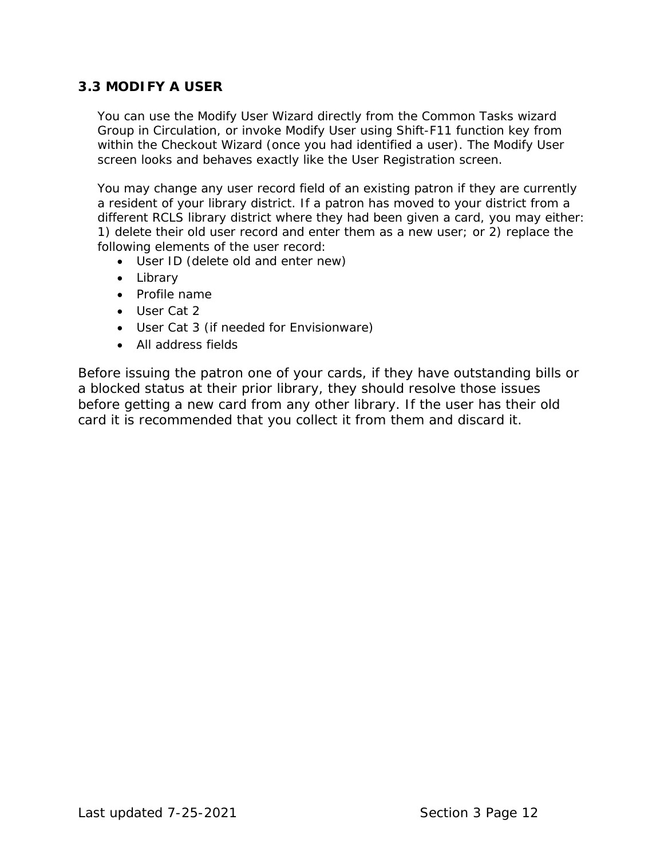# **3.3 MODIFY A USER**

You can use the Modify User Wizard directly from the Common Tasks wizard Group in Circulation, or invoke Modify User using Shift-F11 function key from within the Checkout Wizard (once you had identified a user). The Modify User screen looks and behaves exactly like the User Registration screen.

You may change any user record field of an existing patron if they are currently a resident of your library district. If a patron has moved to your district from a different RCLS library district where they had been given a card, you may either: 1) delete their old user record and enter them as a new user; or 2) replace the following elements of the user record:

- User ID (delete old and enter new)
- Library
- Profile name
- User Cat 2
- User Cat 3 (if needed for Envisionware)
- All address fields

Before issuing the patron one of your cards, if they have outstanding bills or a blocked status at their prior library, they should resolve those issues before getting a new card from any other library. If the user has their old card it is recommended that you collect it from them and discard it.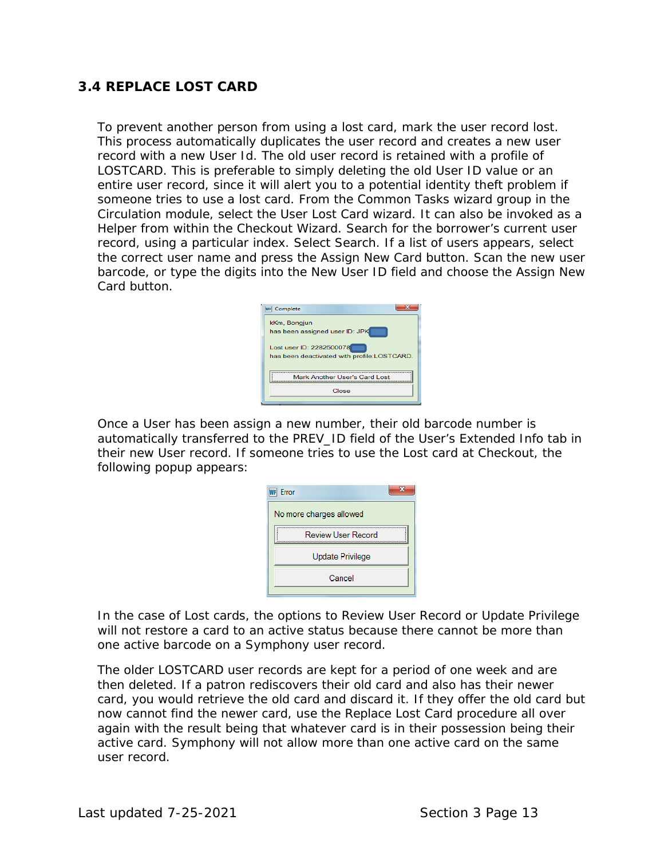# **3.4 REPLACE LOST CARD**

To prevent another person from using a lost card, mark the user record lost. This process automatically duplicates the user record and creates a new user record with a new User Id. The old user record is retained with a profile of LOSTCARD. This is preferable to simply deleting the old User ID value or an entire user record, since it will alert you to a potential identity theft problem if someone tries to use a lost card. From the Common Tasks wizard group in the Circulation module, select the User Lost Card wizard. It can also be invoked as a Helper from within the Checkout Wizard. Search for the borrower's current user record, using a particular index. Select Search. If a list of users appears, select the correct user name and press the Assign New Card button. Scan the new user barcode, or type the digits into the New User ID field and choose the Assign New Card button.

| <b>WF</b> Complete                                                      |
|-------------------------------------------------------------------------|
| kKm, Bongjun<br>has been assigned user ID: JPK                          |
| Lost user ID: 2282500078<br>has been deactivated with profile:LOSTCARD. |
| Mark Another User's Card Lost                                           |
| Close                                                                   |

Once a User has been assign a new number, their old barcode number is automatically transferred to the PREV\_ID field of the User's Extended Info tab in their new User record. If someone tries to use the Lost card at Checkout, the following popup appears:

| Error                   |  |
|-------------------------|--|
| No more charges allowed |  |
| Review User Record      |  |
| Update Privilege        |  |
| Cancel                  |  |
|                         |  |

In the case of Lost cards, the options to Review User Record or Update Privilege will not restore a card to an active status because there cannot be more than one active barcode on a Symphony user record.

The older LOSTCARD user records are kept for a period of one week and are then deleted. If a patron rediscovers their old card and also has their newer card, you would retrieve the old card and discard it. If they offer the old card but now cannot find the newer card, use the Replace Lost Card procedure all over again with the result being that whatever card is in their possession being their active card. Symphony will not allow more than one active card on the same user record.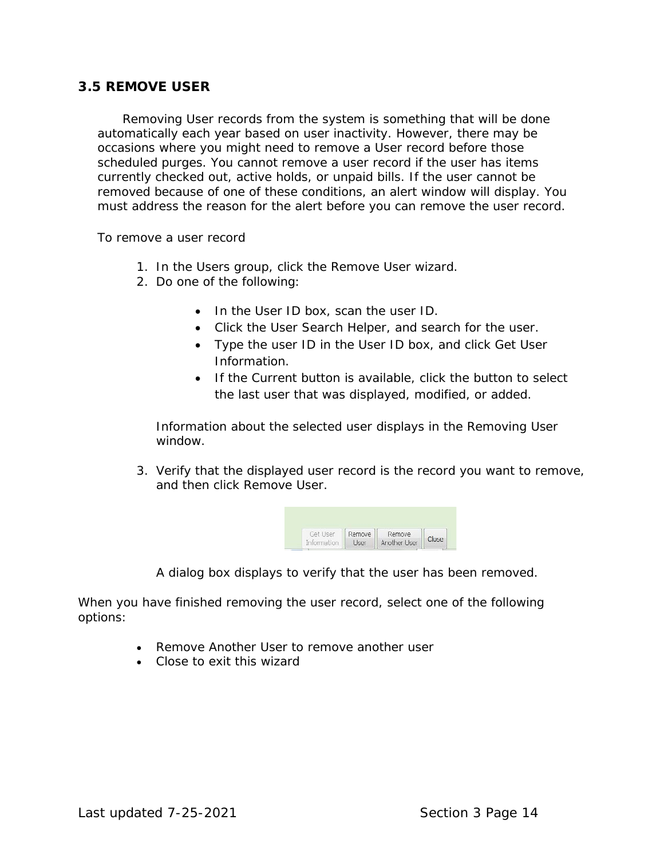#### **3.5 REMOVE USER**

 Removing User records from the system is something that will be done automatically each year based on user inactivity. However, there may be occasions where you might need to remove a User record before those scheduled purges. You cannot remove a user record if the user has items currently checked out, active holds, or unpaid bills. If the user cannot be removed because of one of these conditions, an alert window will display. You must address the reason for the alert before you can remove the user record.

To remove a user record

- 1. In the Users group, click the Remove User wizard.
- 2. Do one of the following:
	- In the User ID box, scan the user ID.
	- Click the User Search Helper, and search for the user.
	- Type the user ID in the User ID box, and click Get User Information.
	- If the Current button is available, click the button to select the last user that was displayed, modified, or added.

Information about the selected user displays in the Removing User window.

3. Verify that the displayed user record is the record you want to remove, and then click Remove User.



A dialog box displays to verify that the user has been removed.

When you have finished removing the user record, select one of the following options:

- Remove Another User to remove another user
- Close to exit this wizard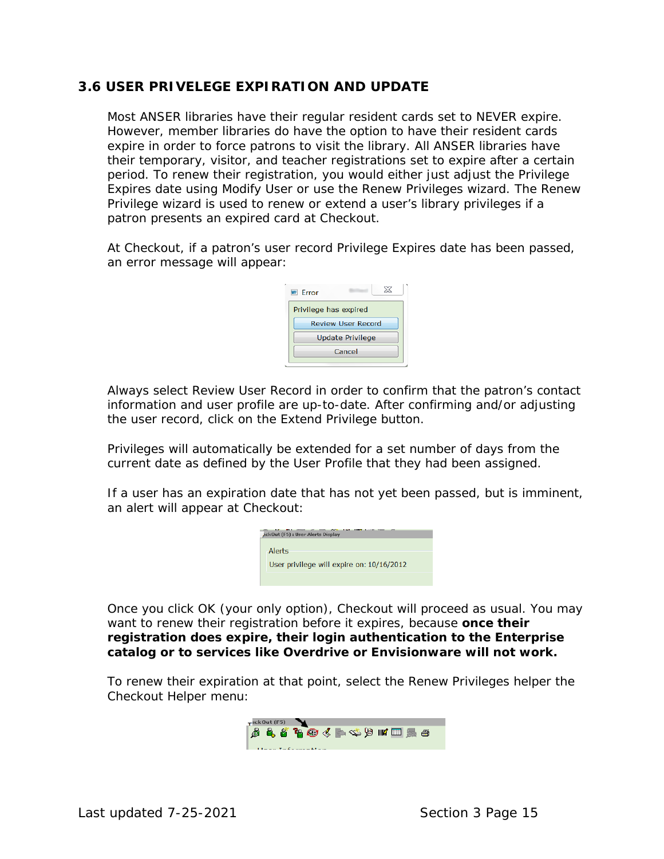## **3.6 USER PRIVELEGE EXPIRATION AND UPDATE**

Most ANSER libraries have their regular resident cards set to NEVER expire. However, member libraries do have the option to have their resident cards expire in order to force patrons to visit the library. All ANSER libraries have their temporary, visitor, and teacher registrations set to expire after a certain period. To renew their registration, you would either just adjust the Privilege Expires date using Modify User or use the Renew Privileges wizard. The Renew Privilege wizard is used to renew or extend a user's library privileges if a patron presents an expired card at Checkout.

At Checkout, if a patron's user record Privilege Expires date has been passed, an error message will appear:



Always select Review User Record in order to confirm that the patron's contact information and user profile are up-to-date. After confirming and/or adjusting the user record, click on the Extend Privilege button.

Privileges will automatically be extended for a set number of days from the current date as defined by the User Profile that they had been assigned.

If a user has an expiration date that has not yet been passed, but is imminent, an alert will appear at Checkout:

|  | ackOut (F5) : User Alerts Display         |
|--|-------------------------------------------|
|  |                                           |
|  | Alerts                                    |
|  | User privilege will expire on: 10/16/2012 |
|  |                                           |

Once you click OK (your only option), Checkout will proceed as usual. You may want to renew their registration before it expires, because **once their registration does expire, their login authentication to the Enterprise catalog or to services like Overdrive or Envisionware will not work.**

To renew their expiration at that point, select the Renew Privileges helper the Checkout Helper menu:

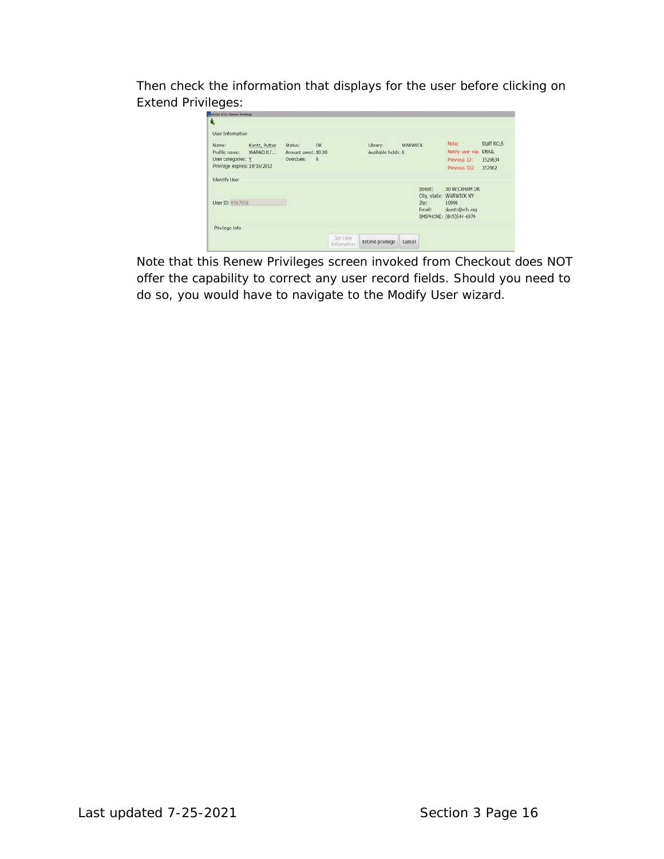Then check the information that displays for the user before clicking on Extend Privileges:

| â,                            |               |                     |           |             |                    |         |         |                         |            |
|-------------------------------|---------------|---------------------|-----------|-------------|--------------------|---------|---------|-------------------------|------------|
| User Information              |               |                     |           |             |                    |         |         |                         |            |
| Name:                         | Kuntz, Putter | Status:             | OK        |             | Library:           | WARWICK |         | Note:                   | Staff RCLS |
| Profile name:                 | WARADULT      | Amount owed: \$0.00 |           |             | Available holds: 0 |         |         | Notify user via: EMAIL  |            |
| User categories: Y            |               | Overdues:           | $\cdot$ 0 |             |                    |         |         | Previous ID:            | 3529634    |
| Privilege expires: 10/16/2012 |               |                     |           |             |                    |         |         | Previous ID2:           | 352962     |
| <b>Identify User</b>          |               |                     |           |             |                    |         |         |                         |            |
|                               |               |                     |           |             |                    |         | Street: | 30 WICKHAM DR           |            |
|                               |               |                     |           |             |                    |         |         | City, state: WARWICK NY |            |
| User ID: 8567658              |               |                     |           |             |                    |         | Zip:    | 10990                   |            |
|                               |               |                     |           |             |                    |         | Email:  | jkuntz@rcls.org         |            |
|                               |               |                     |           |             |                    |         |         | SMSPHONE: (845)544-6979 |            |
| Privilege info                |               |                     |           |             |                    |         |         |                         |            |
|                               |               |                     |           | Get User    |                    |         |         |                         |            |
|                               |               |                     |           | Information | Extend privilege   | Cancel  |         |                         |            |

Note that this Renew Privileges screen invoked from Checkout does NOT offer the capability to correct any user record fields. Should you need to do so, you would have to navigate to the Modify User wizard.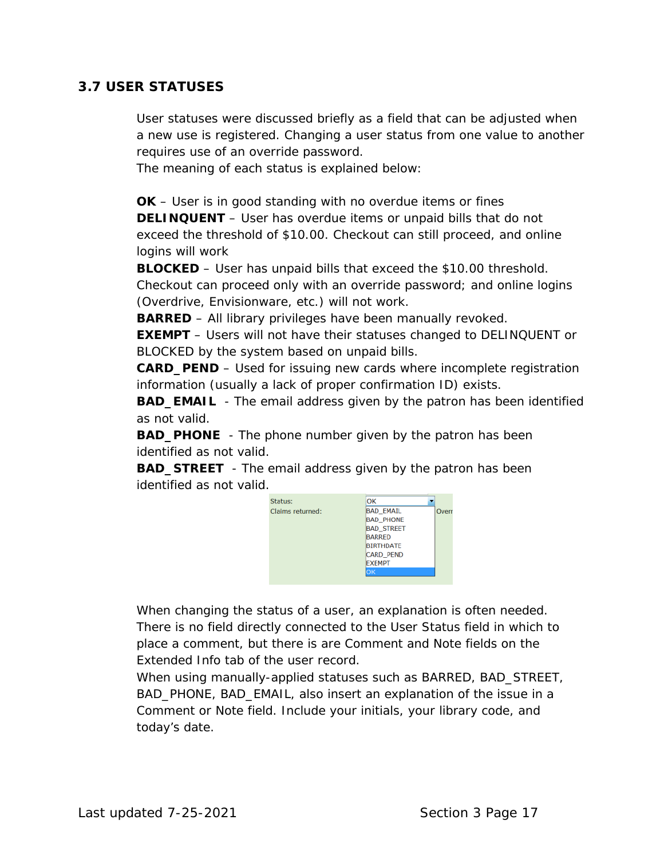# **3.7 USER STATUSES**

User statuses were discussed briefly as a field that can be adjusted when a new use is registered. Changing a user status from one value to another requires use of an override password.

The meaning of each status is explained below:

**OK** – User is in good standing with no overdue items or fines **DELINQUENT** – User has overdue items or unpaid bills that do not exceed the threshold of \$10.00. Checkout can still proceed, and online logins will work

**BLOCKED** – User has unpaid bills that exceed the \$10.00 threshold. Checkout can proceed only with an override password; and online logins (Overdrive, Envisionware, etc.) will not work.

**BARRED** – All library privileges have been manually revoked.

**EXEMPT** – Users will not have their statuses changed to DELINQUENT or BLOCKED by the system based on unpaid bills.

**CARD\_PEND** – Used for issuing new cards where incomplete registration information (usually a lack of proper confirmation ID) exists.

**BAD\_EMAIL** - The email address given by the patron has been identified as not valid.

**BAD\_PHONE** - The phone number given by the patron has been identified as not valid.

**BAD\_STREET** - The email address given by the patron has been identified as not valid.



When changing the status of a user, an explanation is often needed. There is no field directly connected to the User Status field in which to place a comment, but there is are Comment and Note fields on the Extended Info tab of the user record.

When using manually-applied statuses such as BARRED, BAD\_STREET, BAD\_PHONE, BAD\_EMAIL, also insert an explanation of the issue in a Comment or Note field. Include your initials, your library code, and today's date.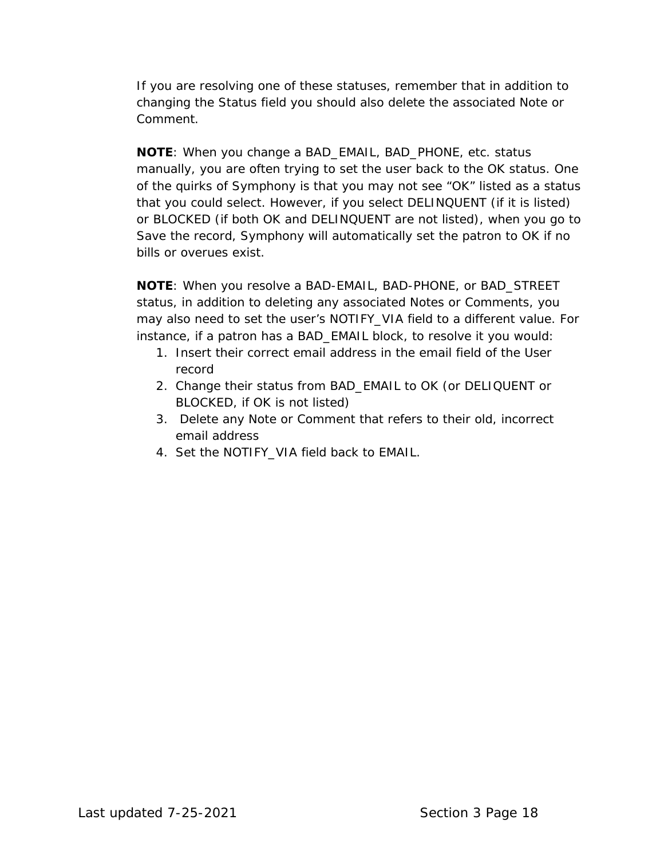If you are resolving one of these statuses, remember that in addition to changing the Status field you should also delete the associated Note or Comment.

**NOTE**: When you change a BAD\_EMAIL, BAD\_PHONE, etc. status manually, you are often trying to set the user back to the OK status. One of the quirks of Symphony is that you may not see "OK" listed as a status that you could select. However, if you select DELINQUENT (if it is listed) or BLOCKED (if both OK and DELINQUENT are not listed), when you go to Save the record, Symphony will automatically set the patron to OK if no bills or overues exist.

**NOTE**: When you resolve a BAD-EMAIL, BAD-PHONE, or BAD\_STREET status, in addition to deleting any associated Notes or Comments, you may also need to set the user's NOTIFY\_VIA field to a different value. For instance, if a patron has a BAD\_EMAIL block, to resolve it you would:

- 1. Insert their correct email address in the email field of the User record
- 2. Change their status from BAD\_EMAIL to OK (or DELIQUENT or BLOCKED, if OK is not listed)
- 3. Delete any Note or Comment that refers to their old, incorrect email address
- 4. Set the NOTIFY\_VIA field back to EMAIL.